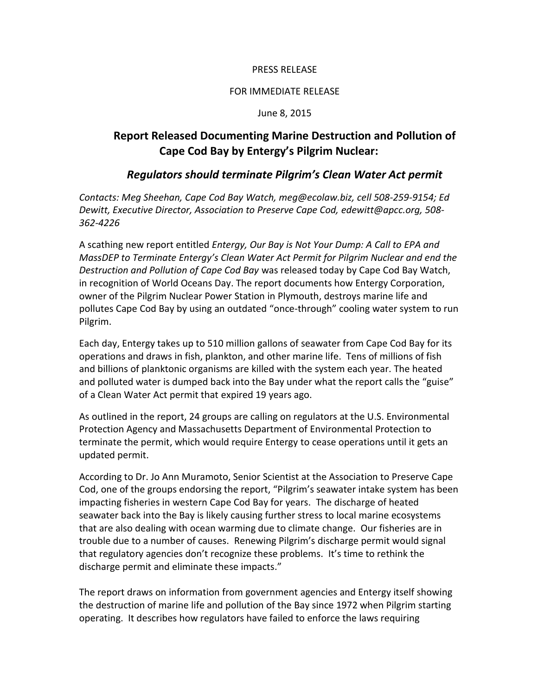### PRESS RELEASE

#### FOR IMMEDIATE RELEASE

#### June 8, 2015

# **Report Released Documenting Marine Destruction and Pollution of Cape Cod Bay by Entergy's Pilgrim Nuclear:**

## *Regulators should terminate Pilgrim's Clean Water Act permit*

*Contacts: Meg Sheehan, Cape Cod Bay Watch, meg@ecolaw.biz, cell 508-259-9154; Ed Dewitt, Executive Director, Association to Preserve Cape Cod, edewitt@apcc.org, 508- 362-4226*

A scathing new report entitled *Entergy, Our Bay is Not Your Dump: A Call to EPA and MassDEP to Terminate Entergy's Clean Water Act Permit for Pilgrim Nuclear and end the Destruction and Pollution of Cape Cod Bay* was released today by Cape Cod Bay Watch, in recognition of World Oceans Day. The report documents how Entergy Corporation, owner of the Pilgrim Nuclear Power Station in Plymouth, destroys marine life and pollutes Cape Cod Bay by using an outdated "once-through" cooling water system to run Pilgrim.

Each day, Entergy takes up to 510 million gallons of seawater from Cape Cod Bay for its operations and draws in fish, plankton, and other marine life. Tens of millions of fish and billions of planktonic organisms are killed with the system each year. The heated and polluted water is dumped back into the Bay under what the report calls the "guise" of a Clean Water Act permit that expired 19 years ago.

As outlined in the report, 24 groups are calling on regulators at the U.S. Environmental Protection Agency and Massachusetts Department of Environmental Protection to terminate the permit, which would require Entergy to cease operations until it gets an updated permit.

According to Dr. Jo Ann Muramoto, Senior Scientist at the Association to Preserve Cape Cod, one of the groups endorsing the report, "Pilgrim's seawater intake system has been impacting fisheries in western Cape Cod Bay for years. The discharge of heated seawater back into the Bay is likely causing further stress to local marine ecosystems that are also dealing with ocean warming due to climate change. Our fisheries are in trouble due to a number of causes. Renewing Pilgrim's discharge permit would signal that regulatory agencies don't recognize these problems. It's time to rethink the discharge permit and eliminate these impacts."

The report draws on information from government agencies and Entergy itself showing the destruction of marine life and pollution of the Bay since 1972 when Pilgrim starting operating. It describes how regulators have failed to enforce the laws requiring